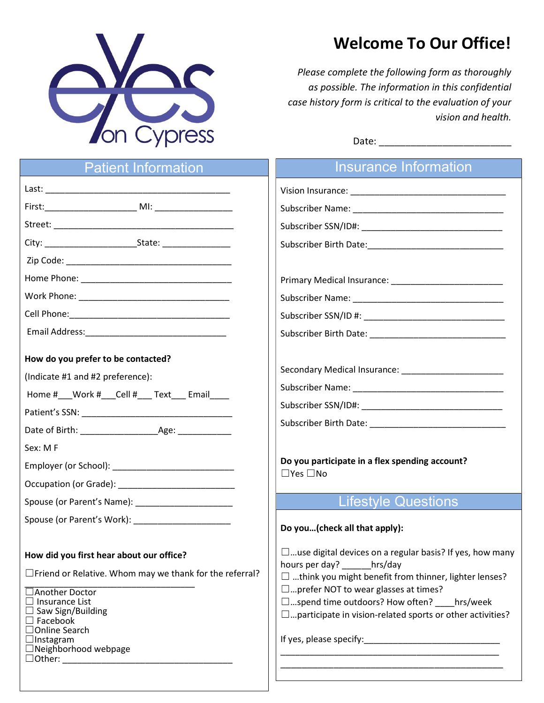

## Welcome To Our Office!

Please complete the following form as thoroughly as possible. The information in this confidential case history form is critical to the evaluation of your vision and health.

| Date: |  |
|-------|--|
|       |  |

| <b>Patient Information</b>                                                                                                                                                                                                                                                                          | Insurance Information                                                                                                                                                                                                                                                                                                                                                                                                                                               |
|-----------------------------------------------------------------------------------------------------------------------------------------------------------------------------------------------------------------------------------------------------------------------------------------------------|---------------------------------------------------------------------------------------------------------------------------------------------------------------------------------------------------------------------------------------------------------------------------------------------------------------------------------------------------------------------------------------------------------------------------------------------------------------------|
|                                                                                                                                                                                                                                                                                                     |                                                                                                                                                                                                                                                                                                                                                                                                                                                                     |
|                                                                                                                                                                                                                                                                                                     |                                                                                                                                                                                                                                                                                                                                                                                                                                                                     |
|                                                                                                                                                                                                                                                                                                     |                                                                                                                                                                                                                                                                                                                                                                                                                                                                     |
|                                                                                                                                                                                                                                                                                                     |                                                                                                                                                                                                                                                                                                                                                                                                                                                                     |
|                                                                                                                                                                                                                                                                                                     |                                                                                                                                                                                                                                                                                                                                                                                                                                                                     |
|                                                                                                                                                                                                                                                                                                     |                                                                                                                                                                                                                                                                                                                                                                                                                                                                     |
|                                                                                                                                                                                                                                                                                                     |                                                                                                                                                                                                                                                                                                                                                                                                                                                                     |
|                                                                                                                                                                                                                                                                                                     |                                                                                                                                                                                                                                                                                                                                                                                                                                                                     |
|                                                                                                                                                                                                                                                                                                     |                                                                                                                                                                                                                                                                                                                                                                                                                                                                     |
| How do you prefer to be contacted?<br>(Indicate #1 and #2 preference):<br>Home # __ Work # __ Cell # ___ Text ___ Email ____<br>Sex: MF<br>Employer (or School): Note and the set of the set of the set of the set of the set of the set of the set of the                                          | Do you participate in a flex spending account?<br>$\Box$ Yes $\Box$ No<br><b>Lifestyle Questions</b><br>Do you(check all that apply):                                                                                                                                                                                                                                                                                                                               |
| How did you first hear about our office?<br>$\Box$ Friend or Relative. Whom may we thank for the referral?<br>□ Another Doctor<br>$\Box$ Insurance List<br>$\Box$ Saw Sign/Building<br>$\Box$ Facebook<br>□Online Search<br>$\Box$ Instagram<br>$\Box$ Neighborhood webpage<br>$\Box$ Other: $\Box$ | $\square$ use digital devices on a regular basis? If yes, how many<br>hours per day? hrs/day<br>$\Box$ think you might benefit from thinner, lighter lenses?<br>$\square$ prefer NOT to wear glasses at times?<br>$\square$ spend time outdoors? How often? hrs/week<br>$\square$ participate in vision-related sports or other activities?<br><u> 1989 - Johann Stein, mars an deutscher Stein und der Stein und der Stein und der Stein und der Stein und der</u> |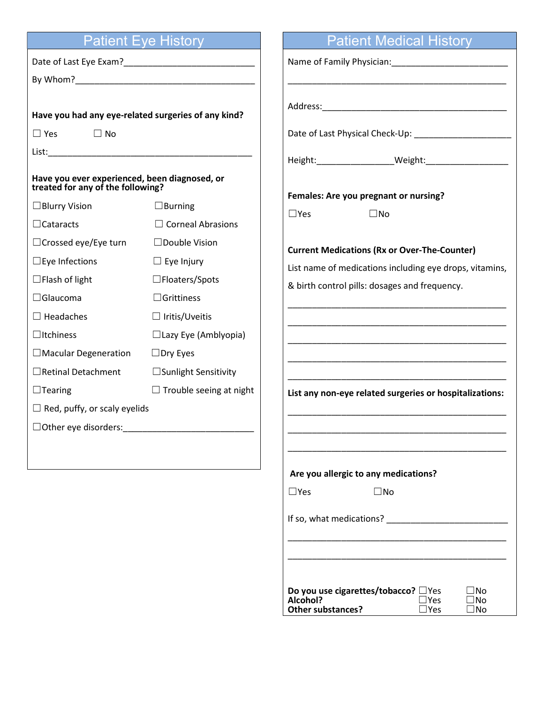| <b>Patient Eye History</b> |  |  |
|----------------------------|--|--|
|                            |  |  |

|                                                                                    | <b>Patient Eye History</b>     | <b>Patient Medical History</b>                                                                                                                                                                                                 |
|------------------------------------------------------------------------------------|--------------------------------|--------------------------------------------------------------------------------------------------------------------------------------------------------------------------------------------------------------------------------|
|                                                                                    |                                |                                                                                                                                                                                                                                |
|                                                                                    |                                |                                                                                                                                                                                                                                |
|                                                                                    |                                |                                                                                                                                                                                                                                |
| Have you had any eye-related surgeries of any kind?                                |                                |                                                                                                                                                                                                                                |
| $\Box$ Yes $\Box$ No                                                               |                                |                                                                                                                                                                                                                                |
|                                                                                    |                                |                                                                                                                                                                                                                                |
| Have you ever experienced, been diagnosed, or<br>treated for any of the following? |                                |                                                                                                                                                                                                                                |
| $\Box$ Blurry Vision                                                               | $\Box$ Burning                 | Females: Are you pregnant or nursing?                                                                                                                                                                                          |
| $\Box$ Cataracts                                                                   | $\Box$ Corneal Abrasions       | $\square$ No<br>$\square$ Yes                                                                                                                                                                                                  |
| $\Box$ Crossed eye/Eye turn                                                        | $\Box$ Double Vision           | <b>Current Medications (Rx or Over-The-Counter)</b>                                                                                                                                                                            |
| $\Box$ Eye Infections                                                              | $\Box$ Eye Injury              | List name of medications including eye drops, vitamins,                                                                                                                                                                        |
| $\Box$ Flash of light                                                              | $\square$ Floaters/Spots       | & birth control pills: dosages and frequency.                                                                                                                                                                                  |
| $\Box$ Glaucoma                                                                    | $\Box$ Grittiness              |                                                                                                                                                                                                                                |
| $\Box$ Headaches                                                                   | $\Box$ Iritis/Uveitis          | <u> 1989 - Johann John Stoff, deutscher Stoff und der Stoff und der Stoff und der Stoff und der Stoff und der Stoff</u>                                                                                                        |
| $\Box$ Itchiness                                                                   | $\Box$ Lazy Eye (Amblyopia)    |                                                                                                                                                                                                                                |
| $\Box$ Macular Degeneration                                                        | $\square$ Dry Eyes             |                                                                                                                                                                                                                                |
| □ Retinal Detachment                                                               | $\Box$ Sunlight Sensitivity    |                                                                                                                                                                                                                                |
| $\Box$ Tearing                                                                     | $\Box$ Trouble seeing at night | List any non-eye related surgeries or hospitalizations:                                                                                                                                                                        |
| $\Box$ Red, puffy, or scaly eyelids                                                |                                |                                                                                                                                                                                                                                |
| $\Box$ Other eye disorders:                                                        |                                |                                                                                                                                                                                                                                |
|                                                                                    |                                |                                                                                                                                                                                                                                |
|                                                                                    |                                | Are you allergic to any medications?                                                                                                                                                                                           |
|                                                                                    |                                | $\square$ Yes<br>$\square$ No                                                                                                                                                                                                  |
|                                                                                    |                                | If so, what medications? The manufacturer of the source of the source of the source of the source of the source of the source of the source of the source of the source of the source of the source of the source of the sourc |
|                                                                                    |                                |                                                                                                                                                                                                                                |

| Do you use cigarettes/tobacco? □ Yes |            | $\Box$ No |
|--------------------------------------|------------|-----------|
| Alcohol?                             | $\Box$ Yes | $\Box$ No |
| <b>Other substances?</b>             | $\Box$ Yes | $\Box$ No |